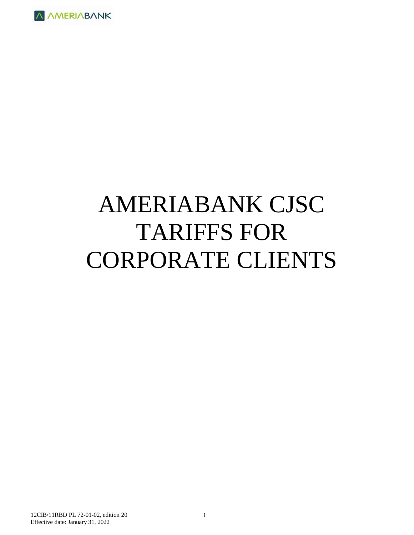

# AMERIABANK CJSC TARIFFS FOR CORPORATE CLIENTS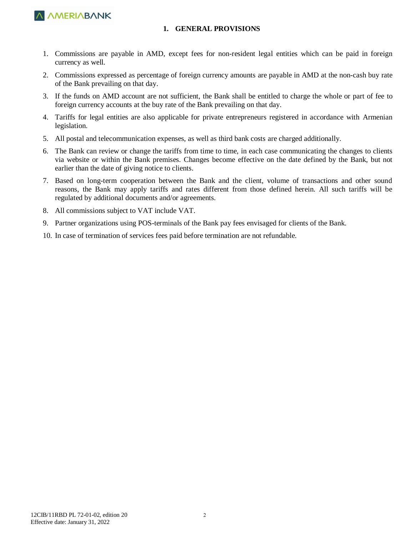

#### **1. GENERAL PROVISIONS**

- 1. Commissions are payable in AMD, except fees for non-resident legal entities which can be paid in foreign currency as well.
- 2. Commissions expressed as percentage of foreign currency amounts are payable in AMD at the non-cash buy rate of the Bank prevailing on that day.
- 3. If the funds on AMD account are not sufficient, the Bank shall be entitled to charge the whole or part of fee to foreign currency accounts at the buy rate of the Bank prevailing on that day.
- 4. Tariffs for legal entities are also applicable for private entrepreneurs registered in accordance with Armenian legislation.
- 5. All postal and telecommunication expenses, as well as third bank costs are charged additionally.
- 6. The Bank can review or change the tariffs from time to time, in each case communicating the changes to clients via website or within the Bank premises. Changes become effective on the date defined by the Bank, but not earlier than the date of giving notice to clients.
- 7. Based on long-term cooperation between the Bank and the client, volume of transactions and other sound reasons, the Bank may apply tariffs and rates different from those defined herein. All such tariffs will be regulated by additional documents and/or agreements.
- 8. All commissions subject to VAT include VAT.
- 9. Partner organizations using POS-terminals of the Bank pay fees envisaged for clients of the Bank.
- 10. In case of termination of services fees paid before termination are not refundable.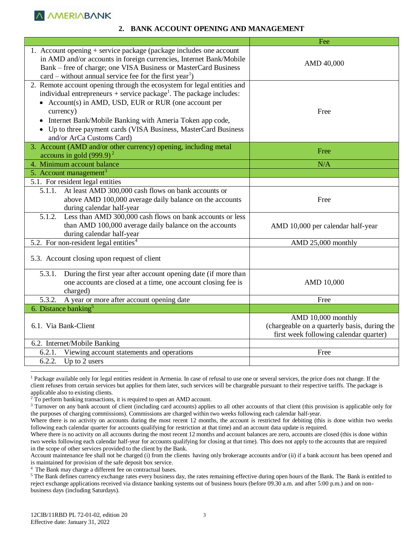#### **2. BANK ACCOUNT OPENING AND MANAGEMENT**

|                                                                                                                                                                                                                                                                                                                                                                                               | Fee                                                                                                          |
|-----------------------------------------------------------------------------------------------------------------------------------------------------------------------------------------------------------------------------------------------------------------------------------------------------------------------------------------------------------------------------------------------|--------------------------------------------------------------------------------------------------------------|
| 1. Account opening + service package (package includes one account<br>in AMD and/or accounts in foreign currencies, Internet Bank/Mobile<br>Bank – free of charge; one VISA Business or MasterCard Business<br>$card$ – without annual service fee for the first year <sup>1</sup> )                                                                                                          | AMD 40,000                                                                                                   |
| 2. Remote account opening through the ecosystem for legal entities and<br>individual entrepreneurs + service package <sup>1</sup> . The package includes:<br>• Account(s) in AMD, USD, EUR or RUR (one account per<br>currency)<br>• Internet Bank/Mobile Banking with Ameria Token app code,<br>• Up to three payment cards (VISA Business, MasterCard Business<br>and/or ArCa Customs Card) | Free                                                                                                         |
| 3. Account (AMD and/or other currency) opening, including metal<br>accouns in gold $(999.9)^2$                                                                                                                                                                                                                                                                                                | Free                                                                                                         |
| 4. Minimum account balance                                                                                                                                                                                                                                                                                                                                                                    | N/A                                                                                                          |
| 5. Account management <sup>3</sup>                                                                                                                                                                                                                                                                                                                                                            |                                                                                                              |
| 5.1. For resident legal entities                                                                                                                                                                                                                                                                                                                                                              |                                                                                                              |
| 5.1.1. At least AMD 300,000 cash flows on bank accounts or<br>above AMD 100,000 average daily balance on the accounts<br>during calendar half-year                                                                                                                                                                                                                                            | Free                                                                                                         |
| 5.1.2. Less than AMD 300,000 cash flows on bank accounts or less<br>than AMD 100,000 average daily balance on the accounts<br>during calendar half-year                                                                                                                                                                                                                                       | AMD 10,000 per calendar half-year                                                                            |
| 5.2. For non-resident legal entities <sup>4</sup>                                                                                                                                                                                                                                                                                                                                             | AMD 25,000 monthly                                                                                           |
| 5.3. Account closing upon request of client                                                                                                                                                                                                                                                                                                                                                   |                                                                                                              |
| 5.3.1.<br>During the first year after account opening date (if more than<br>one accounts are closed at a time, one account closing fee is<br>charged)                                                                                                                                                                                                                                         | AMD 10,000                                                                                                   |
| 5.3.2.<br>A year or more after account opening date                                                                                                                                                                                                                                                                                                                                           | Free                                                                                                         |
| 6. Distance banking <sup>5</sup>                                                                                                                                                                                                                                                                                                                                                              |                                                                                                              |
| 6.1. Via Bank-Client                                                                                                                                                                                                                                                                                                                                                                          | AMD 10,000 monthly<br>(chargeable on a quarterly basis, during the<br>first week following calendar quarter) |
| 6.2. Internet/Mobile Banking                                                                                                                                                                                                                                                                                                                                                                  |                                                                                                              |
| 6.2.1.<br>Viewing account statements and operations                                                                                                                                                                                                                                                                                                                                           | Free                                                                                                         |
| Up to 2 users<br>6.2.2.                                                                                                                                                                                                                                                                                                                                                                       |                                                                                                              |

<sup>&</sup>lt;sup>1</sup> Package available only for legal entities resident in Armenia. In case of refusal to use one or several services, the price does not change. If the client refuses from certain services but applies for them later, such services will be chargeable pursuant to their respective tariffs. The package is applicable also to existing clients.

<sup>2</sup> To perform banking transactions, it is required to open an AMD account.

<sup>4</sup> The Bank may charge a different fee on contractual bases.

<sup>5</sup> The Bank defines currency exchange rates every business day, the rates remaining effective during open hours of the Bank. The Bank is entitled to reject exchange applications received via distance banking systems out of business hours (before 09.30 a.m. and after 5:00 p.m.) and on nonbusiness days (including Saturdays).

<sup>&</sup>lt;sup>3</sup> Turnover on any bank account of client (including card accounts) applies to all other accounts of that client (this provision is applicable only for the purposes of charging commissions). Commissions are charged within two weeks following each calendar half-year.

Where there is no activity on accounts during the most recent 12 months, the account is restricted for debiting (this is done within two weeks following each calendar quarter for accounts qualifying for restriction at that time) and an account data update is required.

Where there is no activity on all accounts during the most recent 12 months and account balances are zero, accounts are closed (this is done within two weeks following each calendar half-year for accounts qualifying for closing at that time). This does not apply to the accounts that are required in the scope of other services provided to the client by the Bank.

Account maintenance fee shall not be charged (i) from the clients having only brokerage accounts and/or (ii) if a bank account has been opened and is maintained for provision of the safe deposit box service.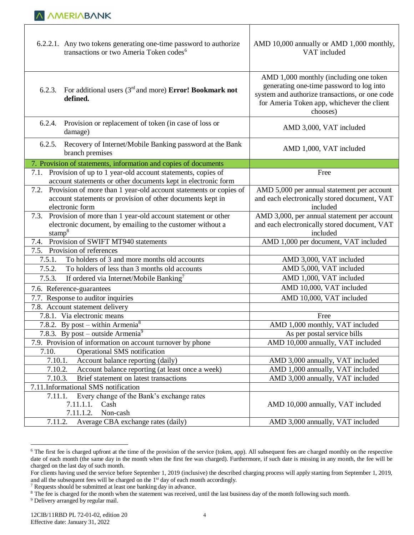| 6.2.2.1. Any two tokens generating one-time password to authorize<br>transactions or two Ameria Token codes <sup>6</sup>                                   | AMD 10,000 annually or AMD 1,000 monthly,<br>VAT included                                                                                                                                      |  |  |  |
|------------------------------------------------------------------------------------------------------------------------------------------------------------|------------------------------------------------------------------------------------------------------------------------------------------------------------------------------------------------|--|--|--|
| For additional users $(3rd$ and more) <b>Error! Bookmark not</b><br>6.2.3.<br>defined.                                                                     | AMD 1,000 monthly (including one token<br>generating one-time password to log into<br>system and authorize transactions, or one code<br>for Ameria Token app, whichever the client<br>chooses) |  |  |  |
| Provision or replacement of token (in case of loss or<br>6.2.4.<br>damage)                                                                                 | AMD 3,000, VAT included                                                                                                                                                                        |  |  |  |
| 6.2.5.<br>Recovery of Internet/Mobile Banking password at the Bank<br>branch premises                                                                      | AMD 1,000, VAT included                                                                                                                                                                        |  |  |  |
| 7. Provision of statements, information and copies of documents                                                                                            |                                                                                                                                                                                                |  |  |  |
| 7.1. Provision of up to 1 year-old account statements, copies of<br>account statements or other documents kept in electronic form                          | Free                                                                                                                                                                                           |  |  |  |
| Provision of more than 1 year-old account statements or copies of<br>7.2.<br>account statements or provision of other documents kept in<br>electronic form | AMD 5,000 per annual statement per account<br>and each electronically stored document, VAT<br>included                                                                                         |  |  |  |
| Provision of more than 1 year-old account statement or other<br>7.3.<br>electronic document, by emailing to the customer without a<br>stamp $8$            | AMD 3,000, per annual statement per account<br>and each electronically stored document, VAT<br>included                                                                                        |  |  |  |
| 7.4. Provision of SWIFT MT940 statements                                                                                                                   | AMD 1,000 per document, VAT included                                                                                                                                                           |  |  |  |
| Provision of references<br>7.5.                                                                                                                            |                                                                                                                                                                                                |  |  |  |
| To holders of 3 and more months old accounts<br>7.5.1.                                                                                                     | AMD 3,000, VAT included                                                                                                                                                                        |  |  |  |
| To holders of less than 3 months old accounts<br>7.5.2.                                                                                                    | AMD 5,000, VAT included                                                                                                                                                                        |  |  |  |
| 7.5.3.<br>If ordered via Internet/Mobile Banking <sup>7</sup>                                                                                              | AMD 1,000, VAT included                                                                                                                                                                        |  |  |  |
| 7.6. Reference-guarantees                                                                                                                                  | AMD 10,000, VAT included                                                                                                                                                                       |  |  |  |
| 7.7. Response to auditor inquiries                                                                                                                         | AMD 10,000, VAT included                                                                                                                                                                       |  |  |  |
| 7.8. Account statement delivery                                                                                                                            |                                                                                                                                                                                                |  |  |  |
| 7.8.1. Via electronic means                                                                                                                                | Free                                                                                                                                                                                           |  |  |  |
| 7.8.2. By post – within Armenia <sup>8</sup>                                                                                                               | AMD 1,000 monthly, VAT included                                                                                                                                                                |  |  |  |
| 7.8.3. By post – outside $\overline{Armenia}^9$                                                                                                            | As per postal service bills                                                                                                                                                                    |  |  |  |
| 7.9. Provision of information on account turnover by phone                                                                                                 | AMD 10,000 annually, VAT included                                                                                                                                                              |  |  |  |
| Operational SMS notification<br>7.10.                                                                                                                      |                                                                                                                                                                                                |  |  |  |
| 7.10.1.<br>Account balance reporting (daily)                                                                                                               | AMD 3,000 annually, VAT included                                                                                                                                                               |  |  |  |
| 7.10.2.<br>Account balance reporting (at least once a week)                                                                                                | AMD 1,000 annually, VAT included                                                                                                                                                               |  |  |  |
| 7.10.3.<br>Brief statement on latest transactions                                                                                                          | AMD 3,000 annually, VAT included                                                                                                                                                               |  |  |  |
| 7.11.Informational SMS notification                                                                                                                        |                                                                                                                                                                                                |  |  |  |
| Every change of the Bank's exchange rates<br>7.11.1.                                                                                                       |                                                                                                                                                                                                |  |  |  |
| 7.11.1.1.<br>Cash<br>Non-cash<br>7.11.1.2.                                                                                                                 | AMD 10,000 annually, VAT included                                                                                                                                                              |  |  |  |
| 7.11.2.<br>Average CBA exchange rates (daily)                                                                                                              | AMD 3,000 annually, VAT included                                                                                                                                                               |  |  |  |

<sup>&</sup>lt;sup>6</sup> The first fee is charged upfront at the time of the provision of the service (token, app). All subsequent fees are charged monthly on the respective date of each month (the same day in the month when the first fee was charged). Furthermore, if such date is missing in any month, the fee will be charged on the last day of such month.

For clients having used the service before September 1, 2019 (inclusive) the described charging process will apply starting from September 1, 2019, and all the subsequent fees will be charged on the 1<sup>st</sup> day of each month accordingly.

<sup>7</sup> Requests should be submitted at least one banking day in advance.

<sup>&</sup>lt;sup>8</sup> The fee is charged for the month when the statement was received, until the last business day of the month following such month.

<sup>&</sup>lt;sup>9</sup> Delivery arranged by regular mail.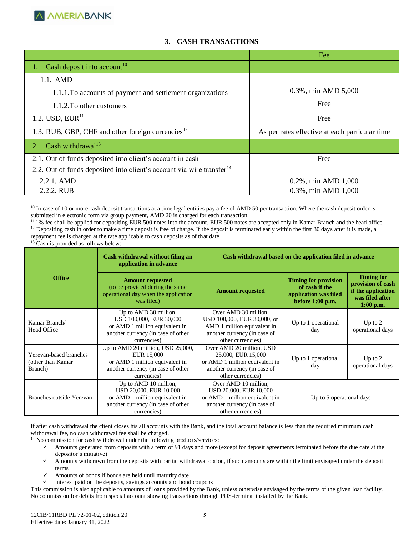### **3. CASH TRANSACTIONS**

|                                                                                   | Fee                                            |
|-----------------------------------------------------------------------------------|------------------------------------------------|
| Cash deposit into account <sup>10</sup>                                           |                                                |
| $1.1.$ AMD                                                                        |                                                |
| 1.1.1. To accounts of payment and settlement organizations                        | 0.3%, min AMD 5,000                            |
| 1.1.2. To other customers                                                         | Free                                           |
| 1.2. USD, $EUR^{11}$                                                              | Free                                           |
| 1.3. RUB, GBP, CHF and other foreign currencies <sup>12</sup>                     | As per rates effective at each particular time |
| Cash withdrawal <sup>13</sup><br>2.                                               |                                                |
| 2.1. Out of funds deposited into client's account in cash                         | Free                                           |
| 2.2. Out of funds deposited into client's account via wire transfer <sup>14</sup> |                                                |
| $2.2.1.$ AMD                                                                      | 0.2%, min AMD 1,000                            |
| 2.2.2. RUB                                                                        | 0.3%, min AMD 1,000                            |

 $\overline{a}$ <sup>10</sup> In case of 10 or more cash deposit transactions at a time legal entities pay a fee of AMD 50 per transaction. Where the cash deposit order is submitted in electronic form via group payment, AMD 20 is charged for each transaction.

<sup>13</sup> Cash is provided as follows below:

| Cash withdrawal without filing an<br>application in advance |                                                                                                                                         | Cash withdrawal based on the application filed in advance                                                                               |                                                                                              |                                                                                                |  |  |
|-------------------------------------------------------------|-----------------------------------------------------------------------------------------------------------------------------------------|-----------------------------------------------------------------------------------------------------------------------------------------|----------------------------------------------------------------------------------------------|------------------------------------------------------------------------------------------------|--|--|
| <b>Office</b>                                               | <b>Amount requested</b><br>(to be provided during the same<br>operational day when the application<br>was filed)                        | <b>Amount requested</b>                                                                                                                 | <b>Timing for provision</b><br>of cash if the<br>application was filed<br>before $1:00$ p.m. | <b>Timing for</b><br>provision of cash<br>if the application<br>was filed after<br>$1:00$ p.m. |  |  |
| Kamar Branch/<br><b>Head Office</b>                         | Up to AMD 30 million,<br>USD 100,000, EUR 30,000<br>or AMD 1 million equivalent in<br>another currency (in case of other<br>currencies) | Over AMD 30 million,<br>USD 100,000, EUR 30,000, or<br>AMD 1 million equivalent in<br>another currency (in case of<br>other currencies) | Up to 1 operational<br>day                                                                   | Up to $2$<br>operational days                                                                  |  |  |
| Yerevan-based branches<br>(other than Kamar<br>Branch)      | Up to AMD 20 million, USD 25,000,<br>EUR 15,000<br>or AMD 1 million equivalent in<br>another currency (in case of other<br>currencies)  | Over AMD 20 million, USD<br>25,000, EUR 15,000<br>or AMD 1 million equivalent in<br>another currency (in case of<br>other currencies)   | Up to 1 operational<br>day                                                                   | Up to $2$<br>operational days                                                                  |  |  |
| Branches outside Yerevan                                    | Up to AMD 10 million,<br>USD 20,000, EUR 10,000<br>or AMD 1 million equivalent in<br>another currency (in case of other<br>currencies)  | Over AMD 10 million,<br>USD 20,000, EUR 10,000<br>or AMD 1 million equivalent in<br>another currency (in case of<br>other currencies)   | Up to 5 operational days                                                                     |                                                                                                |  |  |

If after cash withdrawal the client closes his all accounts with the Bank, and the total account balance is less than the required minimum cash withdrawal fee, no cash withdrawal fee shall be charged.

<sup>14</sup> No commission for cash withdrawal under the following products/services:

- Amounts generated from deposits with a term of 91 days and more (except for deposit agreements terminated before the due date at the depositor's initiative)
- $\checkmark$  Amounts withdrawn from the deposits with partial withdrawal option, if such amounts are within the limit envisaged under the deposit terms
- Amounts of bonds if bonds are held until maturity date
- $\checkmark$  Interest paid on the deposits, savings accounts and bond coupons

This commission is also applicable to amounts of loans provided by the Bank, unless otherwise envisaged by the terms of the given loan facility. No commission for debits from special account showing transactions through POS-terminal installed by the Bank.

<sup>&</sup>lt;sup>11</sup> 1% fee shall be applied for depositing EUR 500 notes into the account. EUR 500 notes are accepted only in Kamar Branch and the head office.  $12$  Depositing cash in order to make a time deposit is free of charge. If the deposit is terminated early within the first 30 days after it is made, a repayment fee is charged at the rate applicable to cash deposits as of that date.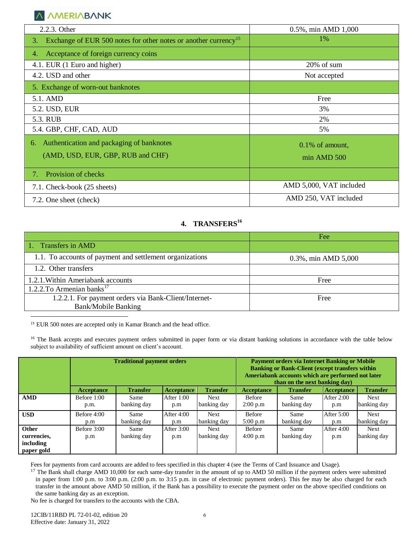| 2.2.3. Other                                                                      | 0.5%, min AMD 1,000     |
|-----------------------------------------------------------------------------------|-------------------------|
| Exchange of EUR 500 notes for other notes or another currency <sup>15</sup><br>3. | 1%                      |
| Acceptance of foreign currency coins<br>4.                                        |                         |
| 4.1. EUR (1 Euro and higher)                                                      | 20% of sum              |
| 4.2. USD and other                                                                | Not accepted            |
| 5. Exchange of worn-out banknotes                                                 |                         |
| 5.1. AMD                                                                          | Free                    |
| 5.2. USD, EUR                                                                     | 3%                      |
| 5.3. RUB                                                                          | 2%                      |
| 5.4. GBP, CHF, CAD, AUD                                                           | 5%                      |
| Authentication and packaging of banknotes<br>6.                                   | $0.1\%$ of amount,      |
| (AMD, USD, EUR, GBP, RUB and CHF)                                                 | $min$ AMD $500$         |
| Provision of checks<br>$7_{\scriptscriptstyle{\star}}$                            |                         |
| 7.1. Check-book (25 sheets)                                                       | AMD 5,000, VAT included |
| 7.2. One sheet (check)                                                            | AMD 250, VAT included   |

# **4. TRANSFERS<sup>16</sup>**

|                                                          | Fee                 |
|----------------------------------------------------------|---------------------|
| 1. Transfers in AMD                                      |                     |
| 1.1. To accounts of payment and settlement organizations | 0.3%, min AMD 5,000 |
| 1.2. Other transfers                                     |                     |
| 1.2.1. Within Ameriabank accounts                        | Free                |
| 1.2.2. To Armenian banks <sup>17</sup>                   |                     |
| 1.2.2.1. For payment orders via Bank-Client/Internet-    | Free                |
| <b>Bank/Mobile Banking</b>                               |                     |
|                                                          |                     |

<sup>15</sup> EUR 500 notes are accepted only in Kamar Branch and the head office.

<sup>16</sup> The Bank accepts and executes payment orders submitted in paper form or via distant banking solutions in accordance with the table below subject to availability of sufficient amount on client's account.

|              | <b>Traditional payment orders</b> |                 |                   |                 | <b>Payment orders via Internet Banking or Mobile</b><br><b>Banking or Bank-Client (except transfers within)</b><br>Ameriabank accounts which are performed not later<br>than on the next banking day) |                 |                   |                 |
|--------------|-----------------------------------|-----------------|-------------------|-----------------|-------------------------------------------------------------------------------------------------------------------------------------------------------------------------------------------------------|-----------------|-------------------|-----------------|
|              | <b>Acceptance</b>                 | <b>Transfer</b> | <b>Acceptance</b> | <b>Transfer</b> | <b>Acceptance</b>                                                                                                                                                                                     | <b>Transfer</b> | <b>Acceptance</b> | <b>Transfer</b> |
| <b>AMD</b>   | Before 1:00                       | Same            | After 1:00        | <b>Next</b>     | <b>Before</b>                                                                                                                                                                                         | Same            | <b>After 2:00</b> | Next            |
|              | p.m.                              | banking day     | p.m               | banking day     | 2:00 p.m                                                                                                                                                                                              | banking day     | p.m               | banking day     |
| <b>USD</b>   | Before 4:00                       | Same            | After 4:00        | <b>Next</b>     | <b>Before</b>                                                                                                                                                                                         | Same            | <b>After 5:00</b> | <b>Next</b>     |
|              | p.m                               | banking day     | p.m               | banking day     | 5:00 p.m                                                                                                                                                                                              | banking day     | p.m               | banking day     |
| <b>Other</b> | Before 3:00                       | Same            | After 3:00        | <b>Next</b>     | <b>Before</b>                                                                                                                                                                                         | Same            | After 4:00        | <b>Next</b>     |
| currencies,  | p.m                               | banking day     | p.m               | banking day     | 4:00 p.m                                                                                                                                                                                              | banking day     | p.m               | banking day     |
| including    |                                   |                 |                   |                 |                                                                                                                                                                                                       |                 |                   |                 |
| paper gold   |                                   |                 |                   |                 |                                                                                                                                                                                                       |                 |                   |                 |

Fees for payments from card accounts are added to fees specified in this chapter 4 (see the Terms of Card Issuance and Usage).

<sup>17</sup> The Bank shall charge AMD 10,000 for each same-day transfer in the amount of up to AMD 50 million if the payment orders were submitted in paper from 1:00 p.m. to 3:00 p.m. (2:00 p.m. to 3:15 p.m. in case of electronic payment orders). This fee may be also charged for each transfer in the amount above AMD 50 million, if the Bank has a possibility to execute the payment order on the above specified conditions on the same banking day as an exception.

No fee is charged for transfers to the accounts with the CBA.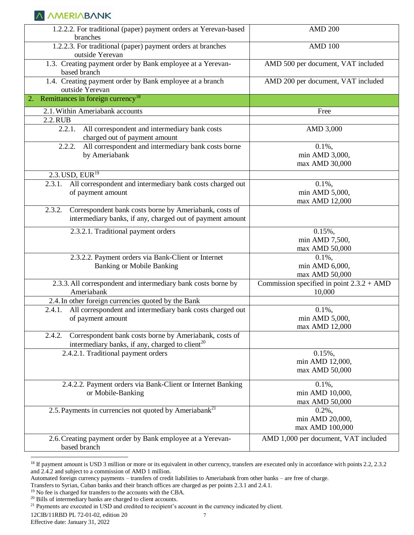| 1.2.2.2. For traditional (paper) payment orders at Yerevan-based<br>branches                                                    | <b>AMD 200</b>                                        |
|---------------------------------------------------------------------------------------------------------------------------------|-------------------------------------------------------|
| 1.2.2.3. For traditional (paper) payment orders at branches<br>outside Yerevan                                                  | <b>AMD 100</b>                                        |
| 1.3. Creating payment order by Bank employee at a Yerevan-<br>based branch                                                      | AMD 500 per document, VAT included                    |
| 1.4. Creating payment order by Bank employee at a branch<br>outside Yerevan                                                     | AMD 200 per document, VAT included                    |
| Remittances in foreign currency <sup>18</sup><br>2.                                                                             |                                                       |
| 2.1. Within Ameriabank accounts                                                                                                 | Free                                                  |
| 2.2.RUB                                                                                                                         |                                                       |
| 2.2.1. All correspondent and intermediary bank costs<br>charged out of payment amount                                           | AMD 3,000                                             |
| All correspondent and intermediary bank costs borne<br>2.2.2.                                                                   | $0.1\%$ ,                                             |
| by Ameriabank                                                                                                                   | min AMD 3,000,                                        |
|                                                                                                                                 | max AMD 30,000                                        |
| $2.3$ . USD, EUR <sup>19</sup>                                                                                                  |                                                       |
| All correspondent and intermediary bank costs charged out<br>2.3.1.                                                             | $0.1\%$ ,                                             |
| of payment amount                                                                                                               | min AMD 5,000,                                        |
|                                                                                                                                 | max AMD 12,000                                        |
| Correspondent bank costs borne by Ameriabank, costs of<br>2.3.2.                                                                |                                                       |
| intermediary banks, if any, charged out of payment amount                                                                       |                                                       |
| 2.3.2.1. Traditional payment orders                                                                                             | $0.15%$ ,                                             |
|                                                                                                                                 | min AMD 7,500,                                        |
|                                                                                                                                 | max AMD 50,000                                        |
| 2.3.2.2. Payment orders via Bank-Client or Internet                                                                             | $0.1\%$ ,                                             |
| <b>Banking or Mobile Banking</b>                                                                                                | min AMD 6,000,                                        |
|                                                                                                                                 | max AMD 50,000                                        |
| 2.3.3. All correspondent and intermediary bank costs borne by<br>Ameriabank                                                     | Commission specified in point $2.3.2 + AMD$<br>10,000 |
| 2.4. In other foreign currencies quoted by the Bank                                                                             |                                                       |
| All correspondent and intermediary bank costs charged out<br>2.4.1.                                                             | $0.1\%$ ,                                             |
| of payment amount                                                                                                               | min AMD 5,000,                                        |
|                                                                                                                                 | max AMD 12,000                                        |
| Correspondent bank costs borne by Ameriabank, costs of<br>2.4.2.<br>intermediary banks, if any, charged to client <sup>20</sup> |                                                       |
| 2.4.2.1. Traditional payment orders                                                                                             | $0.15%$ ,                                             |
|                                                                                                                                 | min AMD 12,000,                                       |
|                                                                                                                                 | max AMD 50,000                                        |
| 2.4.2.2. Payment orders via Bank-Client or Internet Banking                                                                     | $0.1\%$ ,                                             |
| or Mobile-Banking                                                                                                               | min AMD 10,000,                                       |
|                                                                                                                                 | max AMD 50,000                                        |
| 2.5. Payments in currencies not quoted by Ameriabank <sup>21</sup>                                                              | $0.2\%$ ,                                             |
|                                                                                                                                 | min AMD 20,000,                                       |
|                                                                                                                                 | max AMD 100,000                                       |
| 2.6. Creating payment order by Bank employee at a Yerevan-<br>based branch                                                      | AMD 1,000 per document, VAT included                  |

<sup>&</sup>lt;sup>18</sup> If payment amount is USD 3 million or more or its equivalent in other currency, transfers are executed only in accordance with points 2.2, 2.3.2 and 2.4.2 and subject to a commission of AMD 1 million.

Automated foreign currency payments – transfers of credit liabilities to Ameriabank from other banks – are free of charge.

Transfers to Syrian, Cuban banks and their branch offices are charged as per points 2.3.1 and 2.4.1.

<sup>19</sup> No fee is charged for transfers to the accounts with the CBA.

<sup>20</sup> Bills of intermediary banks are charged to client accounts.

<sup>&</sup>lt;sup>21</sup> Payments are executed in USD and credited to recipient's account in the currency indicated by client.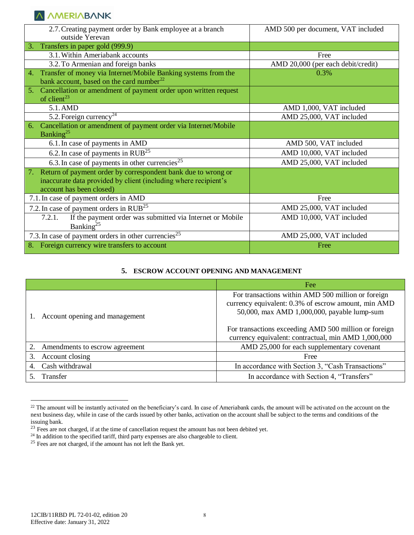| 2.7. Creating payment order by Bank employee at a branch<br>outside Yerevan                                                                                        | AMD 500 per document, VAT included |
|--------------------------------------------------------------------------------------------------------------------------------------------------------------------|------------------------------------|
| Transfers in paper gold (999.9)<br>3.                                                                                                                              |                                    |
| 3.1. Within Ameriabank accounts                                                                                                                                    | Free                               |
| 3.2. To Armenian and foreign banks                                                                                                                                 | AMD 20,000 (per each debit/credit) |
| Transfer of money via Internet/Mobile Banking systems from the<br>bank account, based on the card number <sup>22</sup>                                             | 0.3%                               |
| 5. Cancellation or amendment of payment order upon written request<br>of client <sup>23</sup>                                                                      |                                    |
| 5.1.AMD                                                                                                                                                            | AMD 1,000, VAT included            |
| 5.2. Foreign currency <sup>24</sup>                                                                                                                                | AMD 25,000, VAT included           |
| Cancellation or amendment of payment order via Internet/Mobile<br>Banking <sup>25</sup>                                                                            |                                    |
| 6.1. In case of payments in AMD                                                                                                                                    | AMD 500, VAT included              |
| 6.2. In case of payments in $RUB^{25}$                                                                                                                             | AMD 10,000, VAT included           |
| 6.3. In case of payments in other currencies <sup>25</sup>                                                                                                         | AMD 25,000, VAT included           |
| Return of payment order by correspondent bank due to wrong or<br>7.<br>inaccurate data provided by client (including where recipient's<br>account has been closed) |                                    |
| 7.1. In case of payment orders in AMD                                                                                                                              | Free                               |
| 7.2. In case of payment orders in $RUB^{25}$                                                                                                                       | AMD 25,000, VAT included           |
| If the payment order was submitted via Internet or Mobile<br>7.2.1.<br>Banking <sup>25</sup>                                                                       | AMD 10,000, VAT included           |
| 7.3. In case of payment orders in other currencies <sup>25</sup>                                                                                                   | AMD 25,000, VAT included           |
| 8. Foreign currency wire transfers to account                                                                                                                      | Free                               |

#### **5. ESCROW ACCOUNT OPENING AND MANAGEMENT**

|                                | Fee                                                                                                                                                      |
|--------------------------------|----------------------------------------------------------------------------------------------------------------------------------------------------------|
| Account opening and management | For transactions within AMD 500 million or foreign<br>currency equivalent: 0.3% of escrow amount, min AMD<br>50,000, max AMD 1,000,000, payable lump-sum |
|                                | For transactions exceeding AMD 500 million or foreign<br>currency equivalent: contractual, min AMD 1,000,000                                             |
| Amendments to escrow agreement | AMD 25,000 for each supplementary covenant                                                                                                               |
| Account closing<br>3.          | Free                                                                                                                                                     |
| Cash withdrawal                | In accordance with Section 3, "Cash Transactions"                                                                                                        |
| Transfer                       | In accordance with Section 4, "Transfers"                                                                                                                |

<sup>&</sup>lt;sup>22</sup> The amount will be instantly activated on the beneficiary's card. In case of Ameriabank cards, the amount will be activated on the account on the next business day, while in case of the cards issued by other banks, activation on the account shall be subject to the terms and conditions of the issuing bank.

 $23$  Fees are not charged, if at the time of cancellation request the amount has not been debited yet.

<sup>&</sup>lt;sup>24</sup> In addition to the specified tariff, third party expenses are also chargeable to client.

 $25$  Fees are not charged, if the amount has not left the Bank yet.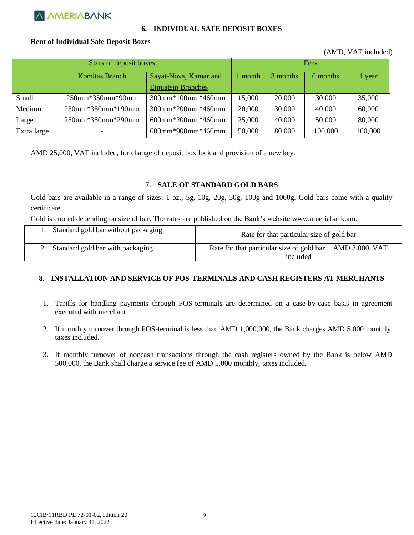

#### **6. INDIVIDUAL SAFE DEPOSIT BOXES**

#### **Rent of Individual Safe Deposit Boxes**

(AMD, VAT included)

| Sizes of deposit boxes |                   |                           | Fees   |          |          |         |
|------------------------|-------------------|---------------------------|--------|----------|----------|---------|
|                        | Komitas Branch    | Sayat-Nova, Kamar and     |        | 3 months | 6 months | 1 year  |
|                        |                   | <b>Ejmiatsin Branches</b> |        |          |          |         |
| Small                  | 250mm*350mm*90mm  | 300mm*100mm*460mm         | 15,000 | 20,000   | 30,000   | 35,000  |
| Medium                 | 250mm*350mm*190mm | 300mm*200mm*460mm         | 20,000 | 30,000   | 40,000   | 60,000  |
| Large                  | 250mm*350mm*290mm | $600$ mm*200mm*460mm      | 25,000 | 40,000   | 50,000   | 80,000  |
| Extra large            |                   | $600$ mm*900mm*460mm      | 50,000 | 80,000   | 100,000  | 160,000 |

AMD 25,000, VAT included, for change of deposit box lock and provision of a new key.

#### **7. SALE OF STANDARD GOLD BARS**

Gold bars are available in a range of sizes: 1 oz., 5g, 10g, 20g, 50g, 100g and 1000g. Gold bars come with a quality certificate.

Gold is quoted depending on size of bar. The rates are published on the Bank's website www.ameriabank.am.

| 1. Standard gold bar without packaging | Rate for that particular size of gold bar                    |
|----------------------------------------|--------------------------------------------------------------|
| 2. Standard gold bar with packaging    | Rate for that particular size of gold bar $+$ AMD 3,000, VAT |
|                                        | included                                                     |

#### **8. INSTALLATION AND SERVICE OF POS-TERMINALS AND CASH REGISTERS AT MERCHANTS**

- 1. Tariffs for handling payments through POS-terminals are determined on a case-by-case basis in agreement executed with merchant.
- 2. If monthly turnover through POS-terminal is less than AMD 1,000,000, the Bank charges AMD 5,000 monthly, taxes included.
- 3. If monthly turnover of noncash transactions through the cash registers owned by the Bank is below AMD 500,000, the Bank shall charge a service fee of AMD 5,000 monthly, taxes included.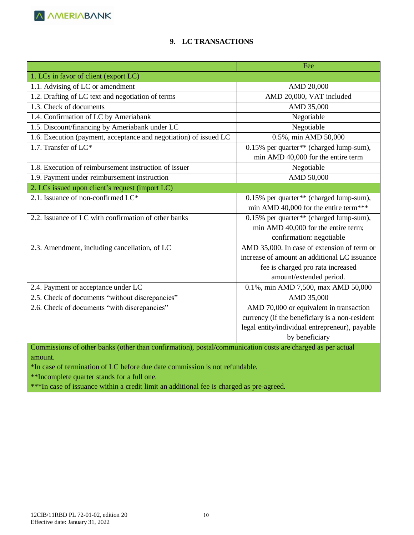# **9. LC TRANSACTIONS**

|                                                                                                            | Fee                                            |  |
|------------------------------------------------------------------------------------------------------------|------------------------------------------------|--|
| 1. LCs in favor of client (export LC)                                                                      |                                                |  |
| 1.1. Advising of LC or amendment                                                                           | AMD 20,000                                     |  |
| 1.2. Drafting of LC text and negotiation of terms                                                          | AMD 20,000, VAT included                       |  |
| 1.3. Check of documents                                                                                    | AMD 35,000                                     |  |
| 1.4. Confirmation of LC by Ameriabank                                                                      | Negotiable                                     |  |
| 1.5. Discount/financing by Ameriabank under LC                                                             | Negotiable                                     |  |
| 1.6. Execution (payment, acceptance and negotiation) of issued LC                                          | 0.5%, min AMD 50,000                           |  |
| 1.7. Transfer of $LC^*$                                                                                    | 0.15% per quarter** (charged lump-sum),        |  |
|                                                                                                            | min AMD 40,000 for the entire term             |  |
| 1.8. Execution of reimbursement instruction of issuer                                                      | Negotiable                                     |  |
| 1.9. Payment under reimbursement instruction                                                               | AMD 50,000                                     |  |
| 2. LCs issued upon client's request (import LC)                                                            |                                                |  |
| 2.1. Issuance of non-confirmed LC*                                                                         | 0.15% per quarter** (charged lump-sum),        |  |
|                                                                                                            | min AMD 40,000 for the entire term***          |  |
| 2.2. Issuance of LC with confirmation of other banks                                                       | 0.15% per quarter** (charged lump-sum),        |  |
|                                                                                                            | min AMD 40,000 for the entire term;            |  |
|                                                                                                            | confirmation: negotiable                       |  |
| 2.3. Amendment, including cancellation, of LC                                                              | AMD 35,000. In case of extension of term or    |  |
|                                                                                                            | increase of amount an additional LC issuance   |  |
|                                                                                                            | fee is charged pro rata increased              |  |
|                                                                                                            | amount/extended period.                        |  |
| 2.4. Payment or acceptance under LC                                                                        | 0.1%, min AMD 7,500, max AMD 50,000            |  |
| 2.5. Check of documents "without discrepancies"                                                            | AMD 35,000                                     |  |
| 2.6. Check of documents "with discrepancies"                                                               | AMD 70,000 or equivalent in transaction        |  |
|                                                                                                            | currency (if the beneficiary is a non-resident |  |
|                                                                                                            | legal entity/individual entrepreneur), payable |  |
|                                                                                                            | by beneficiary                                 |  |
| Commissions of other banks (other than confirmation), postal/communication costs are charged as per actual |                                                |  |

amount.

\*In case of termination of LC before due date commission is not refundable.

\*\*Incomplete quarter stands for a full one.

\*\*\*In case of issuance within a credit limit an additional fee is charged as pre-agreed.